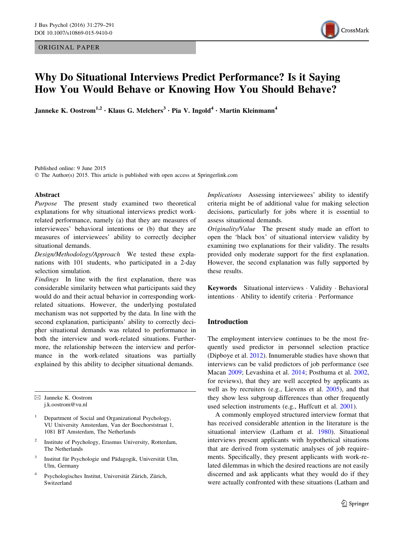ORIGINAL PAPER



# Why Do Situational Interviews Predict Performance? Is it Saying How You Would Behave or Knowing How You Should Behave?

Janneke K. Oostrom<sup>1,2</sup> · Klaus G. Melchers<sup>3</sup> · Pia V. Ingold<sup>4</sup> · Martin Kleinmann<sup>4</sup>

Published online: 9 June 2015 © The Author(s) 2015. This article is published with open access at Springerlink.com

#### Abstract

Purpose The present study examined two theoretical explanations for why situational interviews predict workrelated performance, namely (a) that they are measures of interviewees' behavioral intentions or (b) that they are measures of interviewees' ability to correctly decipher situational demands.

Design/Methodology/Approach We tested these explanations with 101 students, who participated in a 2-day selection simulation.

Findings In line with the first explanation, there was considerable similarity between what participants said they would do and their actual behavior in corresponding workrelated situations. However, the underlying postulated mechanism was not supported by the data. In line with the second explanation, participants' ability to correctly decipher situational demands was related to performance in both the interview and work-related situations. Furthermore, the relationship between the interview and performance in the work-related situations was partially explained by this ability to decipher situational demands.

 $\boxtimes$  Janneke K. Oostrom j.k.oostrom@vu.nl

- <sup>1</sup> Department of Social and Organizational Psychology, VU University Amsterdam, Van der Boechorststraat 1, 1081 BT Amsterdam, The Netherlands
- Institute of Psychology, Erasmus University, Rotterdam, The Netherlands
- Institut für Psychologie und Pädagogik, Universität Ulm, Ulm, Germany
- Psychologisches Institut, Universität Zürich, Zürich, Switzerland

Implications Assessing interviewees' ability to identify criteria might be of additional value for making selection decisions, particularly for jobs where it is essential to assess situational demands.

Originality/Value The present study made an effort to open the 'black box' of situational interview validity by examining two explanations for their validity. The results provided only moderate support for the first explanation. However, the second explanation was fully supported by these results.

Keywords Situational interviews - Validity - Behavioral intentions - Ability to identify criteria - Performance

# Introduction

The employment interview continues to be the most frequently used predictor in personnel selection practice (Dipboye et al. [2012](#page-11-0)). Innumerable studies have shown that interviews can be valid predictors of job performance (see Macan [2009](#page-11-0); Levashina et al. [2014](#page-11-0); Posthuma et al. [2002,](#page-12-0) for reviews), that they are well accepted by applicants as well as by recruiters (e.g., Lievens et al. [2005\)](#page-11-0), and that they show less subgroup differences than other frequently used selection instruments (e.g., Huffcutt et al. [2001](#page-11-0)).

A commonly employed structured interview format that has received considerable attention in the literature is the situational interview (Latham et al. [1980\)](#page-11-0). Situational interviews present applicants with hypothetical situations that are derived from systematic analyses of job requirements. Specifically, they present applicants with work-related dilemmas in which the desired reactions are not easily discerned and ask applicants what they would do if they were actually confronted with these situations (Latham and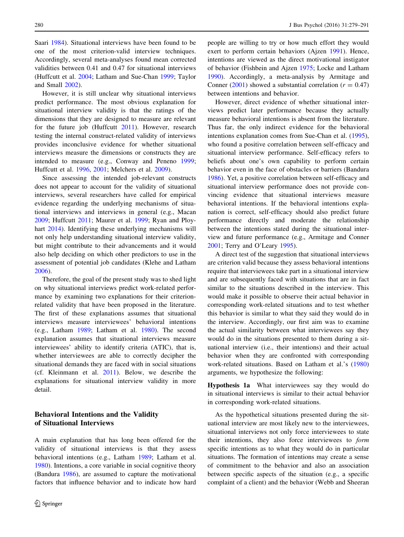Saari [1984](#page-11-0)). Situational interviews have been found to be one of the most criterion-valid interview techniques. Accordingly, several meta-analyses found mean corrected validities between 0.41 and 0.47 for situational interviews (Huffcutt et al. [2004](#page-11-0); Latham and Sue-Chan [1999](#page-11-0); Taylor and Small [2002](#page-12-0)).

However, it is still unclear why situational interviews predict performance. The most obvious explanation for situational interview validity is that the ratings of the dimensions that they are designed to measure are relevant for the future job (Huffcutt [2011\)](#page-11-0). However, research testing the internal construct-related validity of interviews provides inconclusive evidence for whether situational interviews measure the dimensions or constructs they are intended to measure (e.g., Conway and Peneno [1999](#page-11-0); Huffcutt et al. [1996,](#page-11-0) [2001;](#page-11-0) Melchers et al. [2009](#page-12-0)).

Since assessing the intended job-relevant constructs does not appear to account for the validity of situational interviews, several researchers have called for empirical evidence regarding the underlying mechanisms of situational interviews and interviews in general (e.g., Macan [2009;](#page-11-0) Huffcutt [2011;](#page-11-0) Maurer et al. [1999](#page-12-0); Ryan and Ployhart [2014](#page-12-0)). Identifying these underlying mechanisms will not only help understanding situational interview validity, but might contribute to their advancements and it would also help deciding on which other predictors to use in the assessment of potential job candidates (Klehe and Latham [2006\)](#page-11-0).

Therefore, the goal of the present study was to shed light on why situational interviews predict work-related performance by examining two explanations for their criterionrelated validity that have been proposed in the literature. The first of these explanations assumes that situational interviews measure interviewees' behavioral intentions (e.g., Latham [1989;](#page-11-0) Latham et al. [1980](#page-11-0)). The second explanation assumes that situational interviews measure interviewees' ability to identify criteria (ATIC), that is, whether interviewees are able to correctly decipher the situational demands they are faced with in social situations (cf. Kleinmann et al. [2011\)](#page-11-0). Below, we describe the explanations for situational interview validity in more detail.

# Behavioral Intentions and the Validity of Situational Interviews

A main explanation that has long been offered for the validity of situational interviews is that they assess behavioral intentions (e.g., Latham [1989;](#page-11-0) Latham et al. [1980\)](#page-11-0). Intentions, a core variable in social cognitive theory (Bandura [1986](#page-10-0)), are assumed to capture the motivational factors that influence behavior and to indicate how hard people are willing to try or how much effort they would exert to perform certain behaviors (Ajzen [1991\)](#page-10-0). Hence, intentions are viewed as the direct motivational instigator of behavior (Fishbein and Ajzen [1975;](#page-11-0) Locke and Latham [1990](#page-11-0)). Accordingly, a meta-analysis by Armitage and Conner ([2001\)](#page-10-0) showed a substantial correlation ( $r = 0.47$ ) between intentions and behavior.

However, direct evidence of whether situational interviews predict later performance because they actually measure behavioral intentions is absent from the literature. Thus far, the only indirect evidence for the behavioral intentions explanation comes from Sue-Chan et al. [\(1995](#page-12-0)), who found a positive correlation between self-efficacy and situational interview performance. Self-efficacy refers to beliefs about one's own capability to perform certain behavior even in the face of obstacles or barriers (Bandura [1986](#page-10-0)). Yet, a positive correlation between self-efficacy and situational interview performance does not provide convincing evidence that situational interviews measure behavioral intentions. If the behavioral intentions explanation is correct, self-efficacy should also predict future performance directly and moderate the relationship between the intentions stated during the situational interview and future performance (e.g., Armitage and Conner [2001](#page-10-0); Terry and O'Leary [1995\)](#page-12-0).

A direct test of the suggestion that situational interviews are criterion valid because they assess behavioral intentions require that interviewees take part in a situational interview and are subsequently faced with situations that are in fact similar to the situations described in the interview. This would make it possible to observe their actual behavior in corresponding work-related situations and to test whether this behavior is similar to what they said they would do in the interview. Accordingly, our first aim was to examine the actual similarity between what interviewees say they would do in the situations presented to them during a situational interview (i.e., their intentions) and their actual behavior when they are confronted with corresponding work-related situations. Based on Latham et al.'s ([1980\)](#page-11-0) arguments, we hypothesize the following:

Hypothesis 1a What interviewees say they would do in situational interviews is similar to their actual behavior in corresponding work-related situations.

As the hypothetical situations presented during the situational interview are most likely new to the interviewees, situational interviews not only force interviewees to state their intentions, they also force interviewees to form specific intentions as to what they would do in particular situations. The formation of intentions may create a sense of commitment to the behavior and also an association between specific aspects of the situation (e.g., a specific complaint of a client) and the behavior (Webb and Sheeran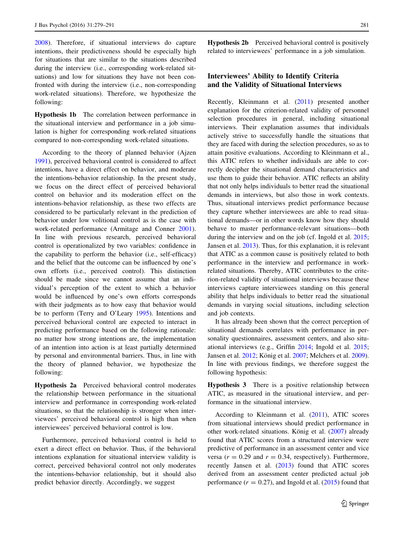[2008\)](#page-12-0). Therefore, if situational interviews do capture intentions, their predictiveness should be especially high for situations that are similar to the situations described during the interview (i.e., corresponding work-related situations) and low for situations they have not been confronted with during the interview (i.e., non-corresponding work-related situations). Therefore, we hypothesize the following:

Hypothesis 1b The correlation between performance in the situational interview and performance in a job simulation is higher for corresponding work-related situations compared to non-corresponding work-related situations.

According to the theory of planned behavior (Ajzen [1991\)](#page-10-0), perceived behavioral control is considered to affect intentions, have a direct effect on behavior, and moderate the intentions-behavior relationship. In the present study, we focus on the direct effect of perceived behavioral control on behavior and its moderation effect on the intentions-behavior relationship, as these two effects are considered to be particularly relevant in the prediction of behavior under low volitional control as is the case with work-related performance (Armitage and Conner [2001](#page-10-0)). In line with previous research, perceived behavioral control is operationalized by two variables: confidence in the capability to perform the behavior (i.e., self-efficacy) and the belief that the outcome can be influenced by one's own efforts (i.e., perceived control). This distinction should be made since we cannot assume that an individual's perception of the extent to which a behavior would be influenced by one's own efforts corresponds with their judgments as to how easy that behavior would be to perform (Terry and O'Leary [1995](#page-12-0)). Intentions and perceived behavioral control are expected to interact in predicting performance based on the following rationale: no matter how strong intentions are, the implementation of an intention into action is at least partially determined by personal and environmental barriers. Thus, in line with the theory of planned behavior, we hypothesize the following:

Hypothesis 2a Perceived behavioral control moderates the relationship between performance in the situational interview and performance in corresponding work-related situations, so that the relationship is stronger when interviewees' perceived behavioral control is high than when interviewees' perceived behavioral control is low.

Furthermore, perceived behavioral control is held to exert a direct effect on behavior. Thus, if the behavioral intentions explanation for situational interview validity is correct, perceived behavioral control not only moderates the intentions-behavior relationship, but it should also predict behavior directly. Accordingly, we suggest

Hypothesis 2b Perceived behavioral control is positively related to interviewees' performance in a job simulation.

# Interviewees' Ability to Identify Criteria and the Validity of Situational Interviews

Recently, Kleinmann et al. [\(2011](#page-11-0)) presented another explanation for the criterion-related validity of personnel selection procedures in general, including situational interviews. Their explanation assumes that individuals actively strive to successfully handle the situations that they are faced with during the selection procedures, so as to attain positive evaluations. According to Kleinmann et al., this ATIC refers to whether individuals are able to correctly decipher the situational demand characteristics and use them to guide their behavior. ATIC reflects an ability that not only helps individuals to better read the situational demands in interviews, but also those in work contexts. Thus, situational interviews predict performance because they capture whether interviewees are able to read situational demands—or in other words know how they should behave to master performance-relevant situations—both during the interview and on the job (cf. Ingold et al. [2015](#page-11-0); Jansen et al. [2013\)](#page-11-0). Thus, for this explanation, it is relevant that ATIC as a common cause is positively related to both performance in the interview and performance in workrelated situations. Thereby, ATIC contributes to the criterion-related validity of situational interviews because these interviews capture interviewees standing on this general ability that helps individuals to better read the situational demands in varying social situations, including selection and job contexts.

It has already been shown that the correct perception of situational demands correlates with performance in personality questionnaires, assessment centers, and also situational interviews (e.g., Griffin [2014](#page-11-0); Ingold et al. [2015](#page-11-0); Jansen et al. [2012](#page-11-0); König et al. [2007;](#page-11-0) Melchers et al. [2009](#page-12-0)). In line with previous findings, we therefore suggest the following hypothesis:

Hypothesis 3 There is a positive relationship between ATIC, as measured in the situational interview, and performance in the situational interview.

According to Kleinmann et al. [\(2011](#page-11-0)), ATIC scores from situational interviews should predict performance in other work-related situations. König et al.  $(2007)$  $(2007)$  already found that ATIC scores from a structured interview were predictive of performance in an assessment center and vice versa ( $r = 0.29$  and  $r = 0.34$ , respectively). Furthermore, recently Jansen et al. ([2013\)](#page-11-0) found that ATIC scores derived from an assessment center predicted actual job performance  $(r = 0.27)$ , and Ingold et al. ([2015\)](#page-11-0) found that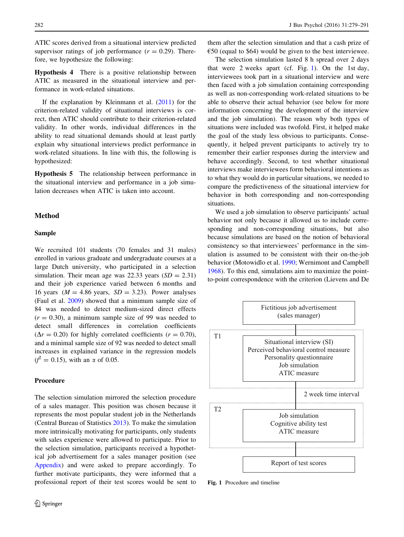ATIC scores derived from a situational interview predicted supervisor ratings of job performance  $(r = 0.29)$ . Therefore, we hypothesize the following:

Hypothesis 4 There is a positive relationship between ATIC as measured in the situational interview and performance in work-related situations.

If the explanation by Kleinmann et al.  $(2011)$  $(2011)$  for the criterion-related validity of situational interviews is correct, then ATIC should contribute to their criterion-related validity. In other words, individual differences in the ability to read situational demands should at least partly explain why situational interviews predict performance in work-related situations. In line with this, the following is hypothesized:

Hypothesis 5 The relationship between performance in the situational interview and performance in a job simulation decreases when ATIC is taken into account.

## Method

# Sample

We recruited 101 students (70 females and 31 males) enrolled in various graduate and undergraduate courses at a large Dutch university, who participated in a selection simulation. Their mean age was 22.33 years  $(SD = 2.31)$ and their job experience varied between 6 months and 16 years ( $M = 4.86$  years,  $SD = 3.23$ ). Power analyses (Faul et al. [2009\)](#page-11-0) showed that a minimum sample size of 84 was needed to detect medium-sized direct effects  $(r = 0.30)$ , a minimum sample size of 99 was needed to detect small differences in correlation coefficients  $(\Delta r = 0.20)$  for highly correlated coefficients  $(r = 0.70)$ , and a minimal sample size of 92 was needed to detect small increases in explained variance in the regression models  $({}^2_1$  = 0.15), with an  $\alpha$  of 0.05.

## Procedure

The selection simulation mirrored the selection procedure of a sales manager. This position was chosen because it represents the most popular student job in the Netherlands (Central Bureau of Statistics [2013\)](#page-10-0). To make the simulation more intrinsically motivating for participants, only students with sales experience were allowed to participate. Prior to the selection simulation, participants received a hypothetical job advertisement for a sales manager position (see [Appendix](#page-10-0)) and were asked to prepare accordingly. To further motivate participants, they were informed that a professional report of their test scores would be sent to

them after the selection simulation and that a cash prize of  $\epsilon$ 50 (equal to \$64) would be given to the best interviewee.

The selection simulation lasted 8 h spread over 2 days that were 2 weeks apart (cf. Fig. 1). On the 1st day, interviewees took part in a situational interview and were then faced with a job simulation containing corresponding as well as non-corresponding work-related situations to be able to observe their actual behavior (see below for more information concerning the development of the interview and the job simulation). The reason why both types of situations were included was twofold. First, it helped make the goal of the study less obvious to participants. Consequently, it helped prevent participants to actively try to remember their earlier responses during the interview and behave accordingly. Second, to test whether situational interviews make interviewees form behavioral intentions as to what they would do in particular situations, we needed to compare the predictiveness of the situational interview for behavior in both corresponding and non-corresponding situations.

We used a job simulation to observe participants' actual behavior not only because it allowed us to include corresponding and non-corresponding situations, but also because simulations are based on the notion of behavioral consistency so that interviewees' performance in the simulation is assumed to be consistent with their on-the-job behavior (Motowidlo et al. [1990](#page-12-0); Wernimont and Campbell [1968](#page-12-0)). To this end, simulations aim to maximize the pointto-point correspondence with the criterion (Lievens and De



Fig. 1 Procedure and timeline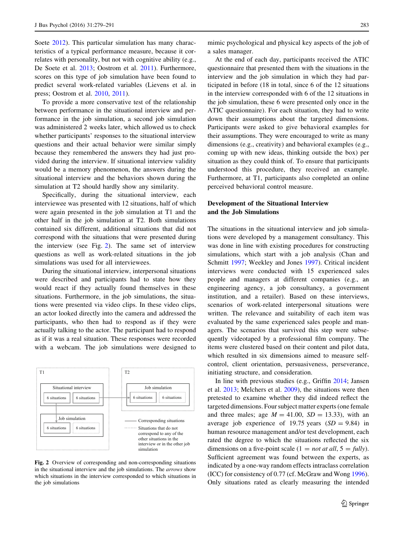Soete [2012](#page-11-0)). This particular simulation has many characteristics of a typical performance measure, because it correlates with personality, but not with cognitive ability (e.g., De Soete et al. [2013](#page-11-0); Oostrom et al. [2011\)](#page-12-0). Furthermore, scores on this type of job simulation have been found to predict several work-related variables (Lievens et al. in press; Oostrom et al. [2010,](#page-12-0) [2011](#page-12-0)).

To provide a more conservative test of the relationship between performance in the situational interview and performance in the job simulation, a second job simulation was administered 2 weeks later, which allowed us to check whether participants' responses to the situational interview questions and their actual behavior were similar simply because they remembered the answers they had just provided during the interview. If situational interview validity would be a memory phenomenon, the answers during the situational interview and the behaviors shown during the simulation at T2 should hardly show any similarity.

Specifically, during the situational interview, each interviewee was presented with 12 situations, half of which were again presented in the job simulation at T1 and the other half in the job simulation at T2. Both simulations contained six different, additional situations that did not correspond with the situations that were presented during the interview (see Fig. 2). The same set of interview questions as well as work-related situations in the job simulations was used for all interviewees.

During the situational interview, interpersonal situations were described and participants had to state how they would react if they actually found themselves in these situations. Furthermore, in the job simulations, the situations were presented via video clips. In these video clips, an actor looked directly into the camera and addressed the participants, who then had to respond as if they were actually talking to the actor. The participant had to respond as if it was a real situation. These responses were recorded with a webcam. The job simulations were designed to



Fig. 2 Overview of corresponding and non-corresponding situations in the situational interview and the job simulations. The arrows show which situations in the interview corresponded to which situations in the job simulations

mimic psychological and physical key aspects of the job of a sales manager.

At the end of each day, participants received the ATIC questionnaire that presented them with the situations in the interview and the job simulation in which they had participated in before (18 in total, since 6 of the 12 situations in the interview corresponded with 6 of the 12 situations in the job simulation, these 6 were presented only once in the ATIC questionnaire). For each situation, they had to write down their assumptions about the targeted dimensions. Participants were asked to give behavioral examples for their assumptions. They were encouraged to write as many dimensions (e.g., creativity) and behavioral examples (e.g., coming up with new ideas, thinking outside the box) per situation as they could think of. To ensure that participants understood this procedure, they received an example. Furthermore, at T1, participants also completed an online perceived behavioral control measure.

# Development of the Situational Interview and the Job Simulations

The situations in the situational interview and job simulations were developed by a management consultancy. This was done in line with existing procedures for constructing simulations, which start with a job analysis (Chan and Schmitt [1997;](#page-10-0) Weekley and Jones [1997](#page-12-0)). Critical incident interviews were conducted with 15 experienced sales people and managers at different companies (e.g., an engineering agency, a job consultancy, a government institution, and a retailer). Based on these interviews, scenarios of work-related interpersonal situations were written. The relevance and suitability of each item was evaluated by the same experienced sales people and managers. The scenarios that survived this step were subsequently videotaped by a professional film company. The items were clustered based on their content and pilot data, which resulted in six dimensions aimed to measure selfcontrol, client orientation, persuasiveness, perseverance, initiating structure, and consideration.

In line with previous studies (e.g., Griffin [2014](#page-11-0); Jansen et al. [2013](#page-11-0); Melchers et al. [2009\)](#page-12-0), the situations were then pretested to examine whether they did indeed reflect the targeted dimensions. Four subject matter experts (one female and three males; age  $M = 41.00$ ,  $SD = 13.33$ ), with an average job experience of 19.75 years  $(SD = 9.84)$  in human resource management and/or test development, each rated the degree to which the situations reflected the six dimensions on a five-point scale (1 = *not at all*, 5 = *fully*). Sufficient agreement was found between the experts, as indicated by a one-way random effects intraclass correlation (ICC) for consistency of 0.77 (cf. McGraw and Wong [1996](#page-12-0)). Only situations rated as clearly measuring the intended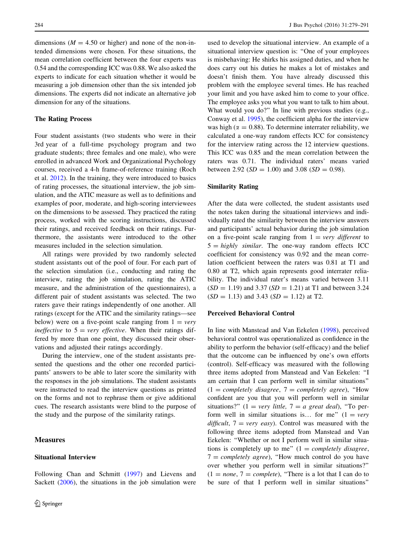dimensions ( $M = 4.50$  or higher) and none of the non-intended dimensions were chosen. For these situations, the mean correlation coefficient between the four experts was 0.54 and the corresponding ICC was 0.88. We also asked the experts to indicate for each situation whether it would be measuring a job dimension other than the six intended job dimensions. The experts did not indicate an alternative job dimension for any of the situations.

#### The Rating Process

Four student assistants (two students who were in their 3rd year of a full-time psychology program and two graduate students; three females and one male), who were enrolled in advanced Work and Organizational Psychology courses, received a 4-h frame-of-reference training (Roch et al. [2012\)](#page-12-0). In the training, they were introduced to basics of rating processes, the situational interview, the job simulation, and the ATIC measure as well as to definitions and examples of poor, moderate, and high-scoring interviewees on the dimensions to be assessed. They practiced the rating process, worked with the scoring instructions, discussed their ratings, and received feedback on their ratings. Furthermore, the assistants were introduced to the other measures included in the selection simulation.

All ratings were provided by two randomly selected student assistants out of the pool of four. For each part of the selection simulation (i.e., conducting and rating the interview, rating the job simulation, rating the ATIC measure, and the administration of the questionnaires), a different pair of student assistants was selected. The two raters gave their ratings independently of one another. All ratings (except for the ATIC and the similarity ratings—see below) were on a five-point scale ranging from  $1 = \text{very}$ ineffective to  $5 = \text{very}$  effective. When their ratings differed by more than one point, they discussed their observations and adjusted their ratings accordingly.

During the interview, one of the student assistants presented the questions and the other one recorded participants' answers to be able to later score the similarity with the responses in the job simulations. The student assistants were instructed to read the interview questions as printed on the forms and not to rephrase them or give additional cues. The research assistants were blind to the purpose of the study and the purpose of the similarity ratings.

Following Chan and Schmitt ([1997\)](#page-10-0) and Lievens and Sackett [\(2006](#page-11-0)), the situations in the job simulation were

## **Measures**

#### Situational Interview

used to develop the situational interview. An example of a situational interview question is: ''One of your employees is misbehaving: He shirks his assigned duties, and when he does carry out his duties he makes a lot of mistakes and doesn't finish them. You have already discussed this problem with the employee several times. He has reached your limit and you have asked him to come to your office. The employee asks you what you want to talk to him about. What would you do?" In line with previous studies (e.g., Conway et al. [1995](#page-11-0)), the coefficient alpha for the interview was high ( $\alpha = 0.88$ ). To determine interrater reliability, we calculated a one-way random effects ICC for consistency for the interview rating across the 12 interview questions. This ICC was 0.85 and the mean correlation between the raters was 0.71. The individual raters' means varied between 2.92 ( $SD = 1.00$ ) and 3.08 ( $SD = 0.98$ ).

#### Similarity Rating

After the data were collected, the student assistants used the notes taken during the situational interviews and individually rated the similarity between the interview answers and participants' actual behavior during the job simulation on a five-point scale ranging from  $1 = \text{very different}$  to  $5 =$  highly similar. The one-way random effects ICC coefficient for consistency was 0.92 and the mean correlation coefficient between the raters was 0.81 at T1 and 0.80 at T2, which again represents good interrater reliability. The individual rater's means varied between 3.11  $(SD = 1.19)$  and 3.37  $(SD = 1.21)$  at T1 and between 3.24  $(SD = 1.13)$  and 3.43  $(SD = 1.12)$  at T2.

#### Perceived Behavioral Control

In line with Manstead and Van Eekelen [\(1998](#page-12-0)), perceived behavioral control was operationalized as confidence in the ability to perform the behavior (self-efficacy) and the belief that the outcome can be influenced by one's own efforts (control). Self-efficacy was measured with the following three items adopted from Manstead and Van Eekelen: ''I am certain that I can perform well in similar situations''  $(1 = completely \ disagree, 7 = completely \ agree)$ , "How confident are you that you will perform well in similar situations?" (1 = very little, 7 = a great deal), "To perform well in similar situations is… for me"  $(1 = \text{very})$ difficult,  $7 = \text{very easy}$ ). Control was measured with the following three items adopted from Manstead and Van Eekelen: ''Whether or not I perform well in similar situations is completely up to me"  $(1 = \text{completely}})$  disagree,  $7 = \text{completely agree}$ ), "How much control do you have over whether you perform well in similar situations?''  $(1 = none, 7 = complete)$ , "There is a lot that I can do to be sure of that I perform well in similar situations''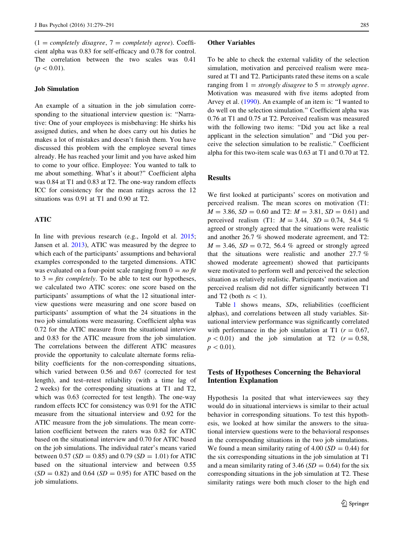$(1 = \text{completely} \text{ disagree}, 7 = \text{completely} \text{ agree}).$  Coefficient alpha was 0.83 for self-efficacy and 0.78 for control. The correlation between the two scales was 0.41  $(p<0.01)$ .

#### Job Simulation

An example of a situation in the job simulation corresponding to the situational interview question is: ''Narrative: One of your employees is misbehaving: He shirks his assigned duties, and when he does carry out his duties he makes a lot of mistakes and doesn't finish them. You have discussed this problem with the employee several times already. He has reached your limit and you have asked him to come to your office. Employee: You wanted to talk to me about something. What's it about?'' Coefficient alpha was 0.84 at T1 and 0.83 at T2. The one-way random effects ICC for consistency for the mean ratings across the 12 situations was 0.91 at T1 and 0.90 at T2.

## ATIC

In line with previous research (e.g., Ingold et al. [2015](#page-11-0); Jansen et al. [2013](#page-11-0)), ATIC was measured by the degree to which each of the participants' assumptions and behavioral examples corresponded to the targeted dimensions. ATIC was evaluated on a four-point scale ranging from  $0 = no fit$ to  $3 = \text{fits completely}$ . To be able to test our hypotheses, we calculated two ATIC scores: one score based on the participants' assumptions of what the 12 situational interview questions were measuring and one score based on participants' assumption of what the 24 situations in the two job simulations were measuring. Coefficient alpha was 0.72 for the ATIC measure from the situational interview and 0.83 for the ATIC measure from the job simulation. The correlations between the different ATIC measures provide the opportunity to calculate alternate forms reliability coefficients for the non-corresponding situations, which varied between 0.56 and 0.67 (corrected for test length), and test–retest reliability (with a time lag of 2 weeks) for the corresponding situations at T1 and T2, which was 0.63 (corrected for test length). The one-way random effects ICC for consistency was 0.91 for the ATIC measure from the situational interview and 0.92 for the ATIC measure from the job simulations. The mean correlation coefficient between the raters was 0.82 for ATIC based on the situational interview and 0.70 for ATIC based on the job simulations. The individual rater's means varied between 0.57 ( $SD = 0.85$ ) and 0.79 ( $SD = 1.01$ ) for ATIC based on the situational interview and between 0.55  $(SD = 0.82)$  and 0.64  $(SD = 0.95)$  for ATIC based on the job simulations.

#### Other Variables

To be able to check the external validity of the selection simulation, motivation and perceived realism were measured at T1 and T2. Participants rated these items on a scale ranging from  $1 =$  strongly disagree to  $5 =$  strongly agree. Motivation was measured with five items adopted from Arvey et al. [\(1990\)](#page-10-0). An example of an item is: ''I wanted to do well on the selection simulation.'' Coefficient alpha was 0.76 at T1 and 0.75 at T2. Perceived realism was measured with the following two items: ''Did you act like a real applicant in the selection simulation'' and ''Did you perceive the selection simulation to be realistic.'' Coefficient alpha for this two-item scale was 0.63 at T1 and 0.70 at T2.

## **Results**

We first looked at participants' scores on motivation and perceived realism. The mean scores on motivation (T1:  $M = 3.86$ ,  $SD = 0.60$  and T2:  $M = 3.81$ ,  $SD = 0.61$ ) and perceived realism (T1:  $M = 3.44$ ,  $SD = 0.74$ , 54.4 % agreed or strongly agreed that the situations were realistic and another 26.7 % showed moderate agreement, and T2:  $M = 3.46$ ,  $SD = 0.72$ , 56.4 % agreed or strongly agreed that the situations were realistic and another 27.7 % showed moderate agreement) showed that participants were motivated to perform well and perceived the selection situation as relatively realistic. Participants' motivation and perceived realism did not differ significantly between T1 and T2 (both  $ts<1$ ).

Table [1](#page-7-0) shows means, SDs, reliabilities (coefficient alphas), and correlations between all study variables. Situational interview performance was significantly correlated with performance in the job simulation at T1 ( $r = 0.67$ ,  $p < 0.01$ ) and the job simulation at T2 ( $r = 0.58$ ,  $p<0.01$ ).

# Tests of Hypotheses Concerning the Behavioral Intention Explanation

Hypothesis 1a posited that what interviewees say they would do in situational interviews is similar to their actual behavior in corresponding situations. To test this hypothesis, we looked at how similar the answers to the situational interview questions were to the behavioral responses in the corresponding situations in the two job simulations. We found a mean similarity rating of 4.00 ( $SD = 0.44$ ) for the six corresponding situations in the job simulation at T1 and a mean similarity rating of 3.46 ( $SD = 0.64$ ) for the six corresponding situations in the job simulation at T2. These similarity ratings were both much closer to the high end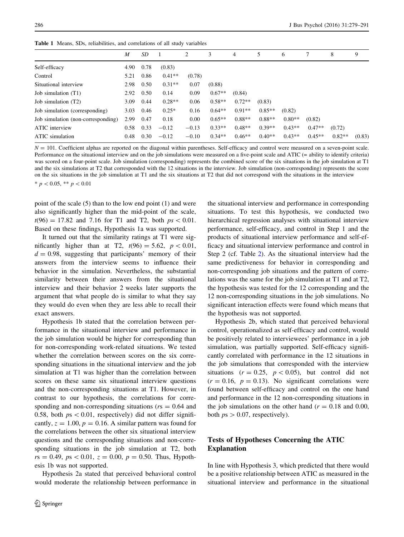|                                    | $\boldsymbol{M}$ | SD   |          | 2       | 3        | 4        | 5        | 6        | 7        | 8        | 9      |
|------------------------------------|------------------|------|----------|---------|----------|----------|----------|----------|----------|----------|--------|
| Self-efficacy                      | 4.90             | 0.78 | (0.83)   |         |          |          |          |          |          |          |        |
| Control                            | 5.21             | 0.86 | $0.41**$ | (0.78)  |          |          |          |          |          |          |        |
| Situational interview              | 2.98             | 0.50 | $0.31**$ | 0.07    | (0.88)   |          |          |          |          |          |        |
| Job simulation (T1)                | 2.92             | 0.50 | 0.14     | 0.09    | $0.67**$ | (0.84)   |          |          |          |          |        |
| Job simulation (T2)                | 3.09             | 0.44 | $0.28**$ | 0.06    | $0.58**$ | $0.72**$ | (0.83)   |          |          |          |        |
| Job simulation (corresponding)     | 3.03             | 0.46 | $0.25*$  | 0.16    | $0.64**$ | $0.91**$ | $0.85**$ | (0.82)   |          |          |        |
| Job simulation (non-corresponding) | 2.99             | 0.47 | 0.18     | 0.00    | $0.65**$ | $0.88**$ | $0.88**$ | $0.80**$ | (0.82)   |          |        |
| ATIC interview                     | 0.58             | 0.33 | $-0.12$  | $-0.13$ | $0.33**$ | $0.48**$ | $0.39**$ | $0.43**$ | $0.47**$ | (0.72)   |        |
| ATIC simulation                    | 0.48             | 0.30 | $-0.12$  | $-0.10$ | $0.34**$ | $0.46**$ | $0.40**$ | $0.43**$ | $0.45**$ | $0.82**$ | (0.83) |

<span id="page-7-0"></span>Table 1 Means, SDs, reliabilities, and correlations of all study variables

 $N = 101$ . Coefficient alphas are reported on the diagonal within parentheses. Self-efficacy and control were measured on a seven-point scale. Performance on the situational interview and on the job simulations were measured on a five-point scale and ATIC (= ability to identify criteria) was scored on a four-point scale. Job simulation (corresponding) represents the combined score of the six situations in the job simulation at T1 and the six simulations at T2 that corresponded with the 12 situations in the interview. Job simulation (non-corresponding) represents the score on the six situations in the job simulation at T1 and the six situations at T2 that did not correspond with the situations in the interview  $* p < 0.05, ** p < 0.01$ 

point of the scale (5) than to the low end point (1) and were also significantly higher than the mid-point of the scale,  $t(96) = 17.82$  and 7.16 for T1 and T2, both  $ps < 0.01$ . Based on these findings, Hypothesis 1a was supported.

It turned out that the similarity ratings at T1 were significantly higher than at T2,  $t(96) = 5.62$ ,  $p < 0.01$ ,  $d = 0.98$ , suggesting that participants' memory of their answers from the interview seems to influence their behavior in the simulation. Nevertheless, the substantial similarity between their answers from the situational interview and their behavior 2 weeks later supports the argument that what people do is similar to what they say they would do even when they are less able to recall their exact answers.

Hypothesis 1b stated that the correlation between performance in the situational interview and performance in the job simulation would be higher for corresponding than for non-corresponding work-related situations. We tested whether the correlation between scores on the six corresponding situations in the situational interview and the job simulation at T1 was higher than the correlation between scores on these same six situational interview questions and the non-corresponding situations at T1. However, in contrast to our hypothesis, the correlations for corresponding and non-corresponding situations ( $rs = 0.64$  and 0.58, both  $ps < 0.01$ , respectively) did not differ significantly,  $z = 1.00$ ,  $p = 0.16$ . A similar pattern was found for the correlations between the other six situational interview questions and the corresponding situations and non-corresponding situations in the job simulation at T2, both  $rs = 0.49$ ,  $ps < 0.01$ ,  $z = 0.00$ ,  $p = 0.50$ . Thus, Hypothesis 1b was not supported.

Hypothesis 2a stated that perceived behavioral control would moderate the relationship between performance in the situational interview and performance in corresponding situations. To test this hypothesis, we conducted two hierarchical regression analyses with situational interview performance, self-efficacy, and control in Step 1 and the products of situational interview performance and self-efficacy and situational interview performance and control in Step 2 (cf. Table [2](#page-8-0)). As the situational interview had the same predictiveness for behavior in corresponding and non-corresponding job situations and the pattern of correlations was the same for the job simulation at T1 and at T2, the hypothesis was tested for the 12 corresponding and the 12 non-corresponding situations in the job simulations. No significant interaction effects were found which means that the hypothesis was not supported.

Hypothesis 2b, which stated that perceived behavioral control, operationalized as self-efficacy and control, would be positively related to interviewees' performance in a job simulation, was partially supported. Self-efficacy significantly correlated with performance in the 12 situations in the job simulations that corresponded with the interview situations ( $r = 0.25$ ,  $p < 0.05$ ), but control did not  $(r = 0.16, p = 0.13)$ . No significant correlations were found between self-efficacy and control on the one hand and performance in the 12 non-corresponding situations in the job simulations on the other hand  $(r = 0.18$  and 0.00, both  $ps > 0.07$ , respectively).

# Tests of Hypotheses Concerning the ATIC Explanation

In line with Hypothesis 3, which predicted that there would be a positive relationship between ATIC as measured in the situational interview and performance in the situational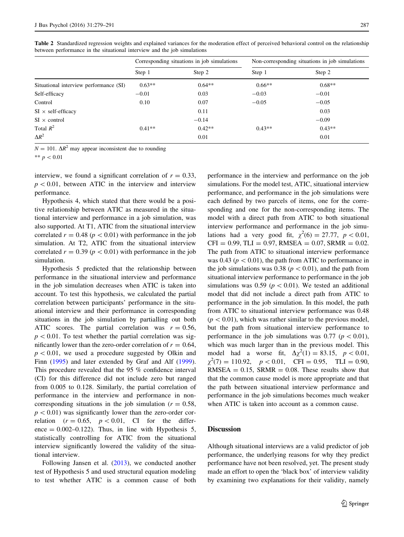<span id="page-8-0"></span>Table 2 Standardized regression weights and explained variances for the moderation effect of perceived behavioral control on the relationship between performance in the situational interview and the job simulations

|                                        |          | Corresponding situations in job simulations | Non-corresponding situations in job simulations |          |  |  |
|----------------------------------------|----------|---------------------------------------------|-------------------------------------------------|----------|--|--|
|                                        | Step 1   | Step 2                                      | Step 1                                          | Step 2   |  |  |
| Situational interview performance (SI) | $0.63**$ | $0.64**$                                    | $0.66**$                                        | $0.68**$ |  |  |
| Self-efficacy                          | $-0.01$  | 0.03                                        | $-0.03$                                         | $-0.01$  |  |  |
| Control                                | 0.10     | 0.07                                        | $-0.05$                                         | $-0.05$  |  |  |
| $SI \times self\text{-efficacy}$       |          | 0.11                                        |                                                 | 0.03     |  |  |
| $SI \times control$                    |          | $-0.14$                                     |                                                 | $-0.09$  |  |  |
| Total $R^2$                            | $0.41**$ | $0.42**$                                    | $0.43**$                                        | $0.43**$ |  |  |
| $\Delta R^2$                           |          | 0.01                                        |                                                 | 0.01     |  |  |

 $N = 101$ .  $\Delta R^2$  may appear inconsistent due to rounding

\*\*  $p < 0.01$ 

interview, we found a significant correlation of  $r = 0.33$ ,  $p<0.01$ , between ATIC in the interview and interview performance.

Hypothesis 4, which stated that there would be a positive relationship between ATIC as measured in the situational interview and performance in a job simulation, was also supported. At T1, ATIC from the situational interview correlated  $r = 0.48$  ( $p < 0.01$ ) with performance in the job simulation. At T2, ATIC from the situational interview correlated  $r = 0.39$  ( $p < 0.01$ ) with performance in the job simulation.

Hypothesis 5 predicted that the relationship between performance in the situational interview and performance in the job simulation decreases when ATIC is taken into account. To test this hypothesis, we calculated the partial correlation between participants' performance in the situational interview and their performance in corresponding situations in the job simulation by partialling out both ATIC scores. The partial correlation was  $r = 0.56$ ,  $p<0.01$ . To test whether the partial correlation was significantly lower than the zero-order correlation of  $r = 0.64$ ,  $p<0.01$ , we used a procedure suggested by Olkin and Finn [\(1995](#page-12-0)) and later extended by Graf and Alf [\(1999](#page-11-0)). This procedure revealed that the 95 % confidence interval (CI) for this difference did not include zero but ranged from 0.005 to 0.128. Similarly, the partial correlation of performance in the interview and performance in noncorresponding situations in the job simulation ( $r = 0.58$ ,  $p<0.01$ ) was significantly lower than the zero-order correlation  $(r = 0.65, p < 0.01, \text{CI}$  for the difference  $= 0.002 - 0.122$ . Thus, in line with Hypothesis 5, statistically controlling for ATIC from the situational interview significantly lowered the validity of the situational interview.

Following Jansen et al. ([2013\)](#page-11-0), we conducted another test of Hypothesis 5 and used structural equation modeling to test whether ATIC is a common cause of both

performance in the interview and performance on the job simulations. For the model test, ATIC, situational interview performance, and performance in the job simulations were each defined by two parcels of items, one for the corresponding and one for the non-corresponding items. The model with a direct path from ATIC to both situational interview performance and performance in the job simulations had a very good fit,  $\chi^2(6) = 27.77$ ,  $p < 0.01$ ,  $CFI = 0.99$ , TLI = 0.97, RMSEA = 0.07, SRMR = 0.02. The path from ATIC to situational interview performance was 0.43 ( $p < 0.01$ ), the path from ATIC to performance in the job simulations was 0.38 ( $p < 0.01$ ), and the path from situational interview performance to performance in the job simulations was 0.59 ( $p < 0.01$ ). We tested an additional model that did not include a direct path from ATIC to performance in the job simulation. In this model, the path from ATIC to situational interview performance was 0.48  $(p<0.01)$ , which was rather similar to the previous model, but the path from situational interview performance to performance in the job simulations was 0.77 ( $p<0.01$ ), which was much larger than in the previous model. This model had a worse fit,  $\Delta \chi^2(1) = 83.15$ ,  $p < 0.01$ ,  $\chi^2(7) = 110.92$ ,  $p < 0.01$ , CFI = 0.95, TLI = 0.90, RMSEA =  $0.15$ , SRMR = 0.08. These results show that that the common cause model is more appropriate and that the path between situational interview performance and performance in the job simulations becomes much weaker when ATIC is taken into account as a common cause.

## Discussion

Although situational interviews are a valid predictor of job performance, the underlying reasons for why they predict performance have not been resolved, yet. The present study made an effort to open the 'black box' of interview validity by examining two explanations for their validity, namely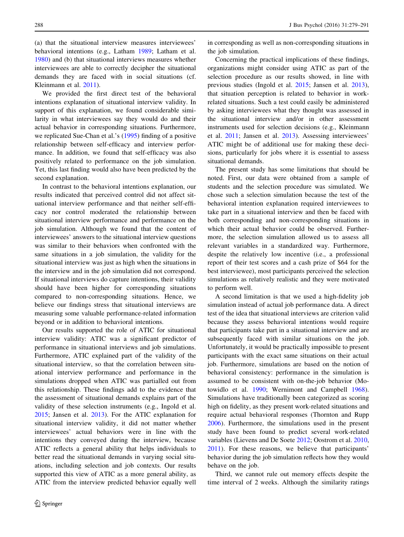(a) that the situational interview measures interviewees' behavioral intentions (e.g., Latham [1989;](#page-11-0) Latham et al. [1980\)](#page-11-0) and (b) that situational interviews measures whether interviewees are able to correctly decipher the situational demands they are faced with in social situations (cf. Kleinmann et al. [2011\)](#page-11-0).

We provided the first direct test of the behavioral intentions explanation of situational interview validity. In support of this explanation, we found considerable similarity in what interviewees say they would do and their actual behavior in corresponding situations. Furthermore, we replicated Sue-Chan et al.'s [\(1995](#page-12-0)) finding of a positive relationship between self-efficacy and interview performance. In addition, we found that self-efficacy was also positively related to performance on the job simulation. Yet, this last finding would also have been predicted by the second explanation.

In contrast to the behavioral intentions explanation, our results indicated that perceived control did not affect situational interview performance and that neither self-efficacy nor control moderated the relationship between situational interview performance and performance on the job simulation. Although we found that the content of interviewees' answers to the situational interview questions was similar to their behaviors when confronted with the same situations in a job simulation, the validity for the situational interview was just as high when the situations in the interview and in the job simulation did not correspond. If situational interviews do capture intentions, their validity should have been higher for corresponding situations compared to non-corresponding situations. Hence, we believe our findings stress that situational interviews are measuring some valuable performance-related information beyond or in addition to behavioral intentions.

Our results supported the role of ATIC for situational interview validity: ATIC was a significant predictor of performance in situational interviews and job simulations. Furthermore, ATIC explained part of the validity of the situational interview, so that the correlation between situational interview performance and performance in the simulations dropped when ATIC was partialled out from this relationship. These findings add to the evidence that the assessment of situational demands explains part of the validity of these selection instruments (e.g., Ingold et al. [2015;](#page-11-0) Jansen et al. [2013](#page-11-0)). For the ATIC explanation for situational interview validity, it did not matter whether interviewees' actual behaviors were in line with the intentions they conveyed during the interview, because ATIC reflects a general ability that helps individuals to better read the situational demands in varying social situations, including selection and job contexts. Our results supported this view of ATIC as a more general ability, as ATIC from the interview predicted behavior equally well in corresponding as well as non-corresponding situations in the job simulation.

Concerning the practical implications of these findings, organizations might consider using ATIC as part of the selection procedure as our results showed, in line with previous studies (Ingold et al. [2015](#page-11-0); Jansen et al. [2013](#page-11-0)), that situation perception is related to behavior in workrelated situations. Such a test could easily be administered by asking interviewees what they thought was assessed in the situational interview and/or in other assessment instruments used for selection decisions (e.g., Kleinmann et al. [2011;](#page-11-0) Jansen et al. [2013\)](#page-11-0). Assessing interviewees' ATIC might be of additional use for making these decisions, particularly for jobs where it is essential to assess situational demands.

The present study has some limitations that should be noted. First, our data were obtained from a sample of students and the selection procedure was simulated. We chose such a selection simulation because the test of the behavioral intention explanation required interviewees to take part in a situational interview and then be faced with both corresponding and non-corresponding situations in which their actual behavior could be observed. Furthermore, the selection simulation allowed us to assess all relevant variables in a standardized way. Furthermore, despite the relatively low incentive (i.e., a professional report of their test scores and a cash prize of \$64 for the best interviewee), most participants perceived the selection simulations as relatively realistic and they were motivated to perform well.

A second limitation is that we used a high-fidelity job simulation instead of actual job performance data. A direct test of the idea that situational interviews are criterion valid because they assess behavioral intentions would require that participants take part in a situational interview and are subsequently faced with similar situations on the job. Unfortunately, it would be practically impossible to present participants with the exact same situations on their actual job. Furthermore, simulations are based on the notion of behavioral consistency: performance in the simulation is assumed to be consistent with on-the-job behavior (Motowidlo et al. [1990](#page-12-0); Wernimont and Campbell [1968](#page-12-0)). Simulations have traditionally been categorized as scoring high on fidelity, as they present work-related situations and require actual behavioral responses (Thornton and Rupp [2006](#page-12-0)). Furthermore, the simulations used in the present study have been found to predict several work-related variables (Lievens and De Soete [2012;](#page-11-0) Oostrom et al. [2010,](#page-12-0) [2011](#page-12-0)). For these reasons, we believe that participants' behavior during the job simulation reflects how they would behave on the job.

Third, we cannot rule out memory effects despite the time interval of 2 weeks. Although the similarity ratings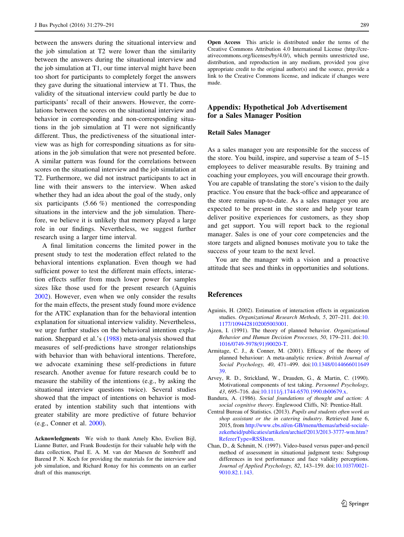<span id="page-10-0"></span>between the answers during the situational interview and the job simulation at T2 were lower than the similarity between the answers during the situational interview and the job simulation at T1, our time interval might have been too short for participants to completely forget the answers they gave during the situational interview at T1. Thus, the validity of the situational interview could partly be due to participants' recall of their answers. However, the correlations between the scores on the situational interview and behavior in corresponding and non-corresponding situations in the job simulation at T1 were not significantly different. Thus, the predictiveness of the situational interview was as high for corresponding situations as for situations in the job simulation that were not presented before. A similar pattern was found for the correlations between scores on the situational interview and the job simulation at T2. Furthermore, we did not instruct participants to act in line with their answers to the interview. When asked whether they had an idea about the goal of the study, only six participants  $(5.66\%)$  mentioned the corresponding situations in the interview and the job simulation. Therefore, we believe it is unlikely that memory played a large role in our findings. Nevertheless, we suggest further research using a larger time interval.

A final limitation concerns the limited power in the present study to test the moderation effect related to the behavioral intentions explanation. Even though we had sufficient power to test the different main effects, interaction effects suffer from much lower power for samples sizes like those used for the present research (Aguinis 2002). However, even when we only consider the results for the main effects, the present study found more evidence for the ATIC explanation than for the behavioral intention explanation for situational interview validity. Nevertheless, we urge further studies on the behavioral intention explanation. Sheppard et al.'s [\(1988](#page-12-0)) meta-analysis showed that measures of self-predictions have stronger relationships with behavior than with behavioral intentions. Therefore, we advocate examining these self-predictions in future research. Another avenue for future research could be to measure the stability of the intentions (e.g., by asking the situational interview questions twice). Several studies showed that the impact of intentions on behavior is moderated by intention stability such that intentions with greater stability are more predictive of future behavior (e.g., Conner et al. [2000](#page-11-0)).

Acknowledgments We wish to thank Amely Kho, Evelien Bijl, Lianne Butter, and Frank Boudestijn for their valuable help with the data collection, Paul E. A. M. van der Maesen de Sombreff and Barend P. N. Koch for providing the materials for the interview and job simulation, and Richard Ronay for his comments on an earlier draft of this manuscript.

Open Access This article is distributed under the terms of the Creative Commons Attribution 4.0 International License (http://creativecommons.org/licenses/by/4.0/), which permits unrestricted use, distribution, and reproduction in any medium, provided you give appropriate credit to the original author(s) and the source, provide a link to the Creative Commons license, and indicate if changes were made.

# Appendix: Hypothetical Job Advertisement for a Sales Manager Position

## Retail Sales Manager

As a sales manager you are responsible for the success of the store. You build, inspire, and supervise a team of 5–15 employees to deliver measurable results. By training and coaching your employees, you will encourage their growth. You are capable of translating the store's vision to the daily practice. You ensure that the back-office and appearance of the store remains up-to-date. As a sales manager you are expected to be present in the store and help your team deliver positive experiences for customers, as they shop and get support. You will report back to the regional manager. Sales is one of your core competencies and the store targets and aligned bonuses motivate you to take the success of your team to the next level.

You are the manager with a vision and a proactive attitude that sees and thinks in opportunities and solutions.

#### References

- Aguinis, H. (2002). Estimation of interaction effects in organization studies. Organizational Research Methods, 5, 207-211. doi:[10.](http://dx.doi.org/10.1177/1094428102005003001) [1177/1094428102005003001.](http://dx.doi.org/10.1177/1094428102005003001)
- Ajzen, I. (1991). The theory of planned behavior. Organizational Behavior and Human Decision Processes, 50, 179-211. doi:[10.](http://dx.doi.org/10.1016/0749-5978(91)90020-T) [1016/0749-5978\(91\)90020-T](http://dx.doi.org/10.1016/0749-5978(91)90020-T).
- Armitage, C. J., & Conner, M. (2001). Efficacy of the theory of planned behaviour: A meta-analytic review. British Journal of Social Psychology, 40, 471–499. doi[:10.1348/0144666011649](http://dx.doi.org/10.1348/014466601164939) [39.](http://dx.doi.org/10.1348/014466601164939)
- Arvey, R. D., Strickland, W., Drauden, G., & Martin, C. (1990). Motivational components of test taking. Personnel Psychology, 43, 695–716. doi[:10.1111/j.1744-6570.1990.tb00679.x.](http://dx.doi.org/10.1111/j.1744-6570.1990.tb00679.x)
- Bandura, A. (1986). Social foundations of thought and action: A social cognitive theory. Englewood Cliffs, NJ: Prentice-Hall.
- Central Bureau of Statistics. (2013). Pupils and students often work as shop assistant or the in catering industry. Retrieved June 6, 2015, from [http://www.cbs.nl/en-GB/menu/themas/arbeid-sociale](http://www.cbs.nl/en-GB/menu/themas/arbeid-sociale-zekerheid/publicaties/artikelen/archief/2013/2013-3777-wm.htm?RefererType=RSSItem)[zekerheid/publicaties/artikelen/archief/2013/2013-3777-wm.htm?](http://www.cbs.nl/en-GB/menu/themas/arbeid-sociale-zekerheid/publicaties/artikelen/archief/2013/2013-3777-wm.htm?RefererType=RSSItem) [RefererType=RSSItem](http://www.cbs.nl/en-GB/menu/themas/arbeid-sociale-zekerheid/publicaties/artikelen/archief/2013/2013-3777-wm.htm?RefererType=RSSItem).
- Chan, D., & Schmitt, N. (1997). Video-based versus paper-and-pencil method of assessment in situational judgment tests: Subgroup differences in test performance and face validity perceptions. Journal of Applied Psychology, 82, 143–159. doi:[10.1037/0021-](http://dx.doi.org/10.1037/0021-9010.82.1.143) [9010.82.1.143.](http://dx.doi.org/10.1037/0021-9010.82.1.143)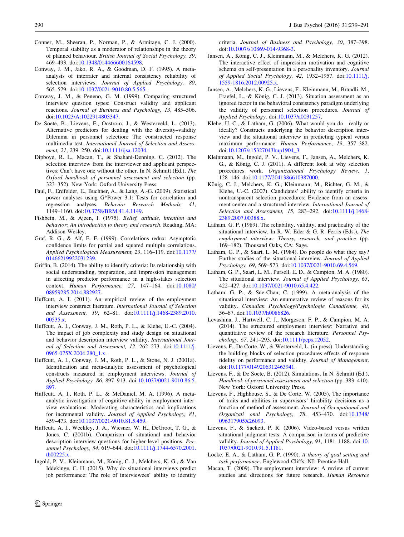- <span id="page-11-0"></span>Conner, M., Sheeran, P., Norman, P., & Armitage, C. J. (2000). Temporal stability as a moderator of relationships in the theory of planned behaviour. British Journal of Social Psychology, 39, 469–493. doi:[10.1348/014466600164598](http://dx.doi.org/10.1348/014466600164598).
- Conway, J. M., Jako, R. A., & Goodman, D. F. (1995). A metaanalysis of interrater and internal consistency reliability of selection interviews. Journal of Applied Psychology, 80, 565–579. doi:[10.1037/0021-9010.80.5.565](http://dx.doi.org/10.1037/0021-9010.80.5.565).
- Conway, J. M., & Peneno, G. M. (1999). Comparing structured interview question types: Construct validity and applicant reactions. Journal of Business and Psychology, 13, 485–506. doi[:10.1023/A:1022914803347.](http://dx.doi.org/10.1023/A:1022914803347)
- De Soete, B., Lievens, F., Oostrom, J., & Westerveld, L. (2013). Alternative predictors for dealing with the diversity–validity Dilemma in personnel selection: The constructed response multimedia test. International Journal of Selection and Assess-ment, 21, 239–250. doi:[10.1111/ijsa.12034.](http://dx.doi.org/10.1111/ijsa.12034)
- Dipboye, R. L., Macan, T., & Shahani-Denning, C. (2012). The selection interview from the interviewer and applicant perspectives: Can't have one without the other. In N. Schmitt (Ed.), The Oxford handbook of personnel assessment and selection (pp. 323–352). New York: Oxford University Press.
- Faul, F., Erdfelder, E., Buchner, A., & Lang, A.-G. (2009). Statistical power analyses using G\*Power 3.1: Tests for correlation and regression analyses. Behavior Research Methods, 41, 1149–1160. doi[:10.3758/BRM.41.4.1149](http://dx.doi.org/10.3758/BRM.41.4.1149).
- Fishbein, M., & Ajzen, I. (1975). Belief, attitude, intention and behavior: An introduction to theory and research. Reading, MA: Addison-Wesley.
- Graf, R. G., & Alf, E. F. (1999). Correlations redux: Asymptotic confidence limits for partial and squared multiple correlations. Applied Psychological Measurement, 23, 116–119. doi[:10.1177/](http://dx.doi.org/10.1177/01466219922031239) [01466219922031239](http://dx.doi.org/10.1177/01466219922031239).
- Griffin, B. (2014). The ability to identify criteria: Its relationship with social understanding, preparation, and impression management in affecting predictor performance in a high-stakes selection context. Human Performance, 27, 147–164. doi[:10.1080/](http://dx.doi.org/10.1080/08959285.2014.882927) [08959285.2014.882927](http://dx.doi.org/10.1080/08959285.2014.882927).
- Huffcutt, A. I. (2011). An empirical review of the employment interview construct literature. International Journal of Selection and Assessment, 19, 62–81. doi:[10.1111/j.1468-2389.2010.](http://dx.doi.org/10.1111/j.1468-2389.2010.00535.x) [00535.x.](http://dx.doi.org/10.1111/j.1468-2389.2010.00535.x)
- Huffcutt, A. I., Conway, J. M., Roth, P. L., & Klehe, U.-C. (2004). The impact of job complexity and study design on situational and behavior description interview validity. International Journal of Selection and Assessment, 12, 262–273. doi:[10.1111/j.](http://dx.doi.org/10.1111/j.0965-075X.2004.280_1.x) [0965-075X.2004.280\\_1.x](http://dx.doi.org/10.1111/j.0965-075X.2004.280_1.x).
- Huffcutt, A. I., Conway, J. M., Roth, P. L., & Stone, N. J. (2001a). Identification and meta-analytic assessment of psychological constructs measured in employment interviews. Journal of Applied Psychology, 86, 897–913. doi[:10.1037/0021-9010.86.5.](http://dx.doi.org/10.1037/0021-9010.86.5.897) [897.](http://dx.doi.org/10.1037/0021-9010.86.5.897)
- Huffcutt, A. I., Roth, P. L., & McDaniel, M. A. (1996). A metaanalytic investigation of cognitive ability in employment interview evaluations: Moderating characteristics and implications for incremental validity. Journal of Applied Psychology, 81, 459–473. doi:[10.1037/0021-9010.81.5.459](http://dx.doi.org/10.1037/0021-9010.81.5.459).
- Huffcutt, A. I., Weekley, J. A., Wiesner, W. H., DeGroot, T. G., & Jones, C. (2001b). Comparison of situational and behavior description interview questions for higher-level positions. Personnel Psychology, 54, 619–644. doi:[10.1111/j.1744-6570.2001.](http://dx.doi.org/10.1111/j.1744-6570.2001.tb00225.x) [tb00225.x](http://dx.doi.org/10.1111/j.1744-6570.2001.tb00225.x).
- Ingold, P. V., Kleinmann, M., König, C. J., Melchers, K. G., & Van Iddekinge, C. H. (2015). Why do situational interviews predict job performance: The role of interviewees' ability to identify

criteria. Journal of Business and Psychology, 30, 387–398. doi[:10.1007/s10869-014-9368-3](http://dx.doi.org/10.1007/s10869-014-9368-3).

- Jansen, A., König, C. J., Kleinmann, M., & Melchers, K. G. (2012). The interactive effect of impression motivation and cognitive schema on self-presentation in a personality inventory. Journal of Applied Social Psychology, 42, 1932–1957. doi:[10.1111/j.](http://dx.doi.org/10.1111/j.1559-1816.2012.00925.x) [1559-1816.2012.00925.x.](http://dx.doi.org/10.1111/j.1559-1816.2012.00925.x)
- Jansen, A., Melchers, K. G., Lievens, F., Kleinmann, M., Brändli, M., Fraefel, L., & König, C. J. (2013). Situation assessment as an ignored factor in the behavioral consistency paradigm underlying the validity of personnel selection procedures. Journal of Applied Psychology. doi:[10.1037/a0031257](http://dx.doi.org/10.1037/a0031257).
- Klehe, U.-C., & Latham, G. (2006). What would you do—really or ideally? Constructs underlying the behavior description interview and the situational interview in predicting typical versus maximum performance. Human Performance, 19, 357–382. doi[:10.1207/s15327043hup1904\\_3.](http://dx.doi.org/10.1207/s15327043hup1904_3)
- Kleinmann, M., Ingold, P. V., Lievens, F., Jansen, A., Melchers, K. G., & König, C. J. (2011). A different look at why selection procedures work. Organizational Psychology Review, 1, 128–146. doi:[10.1177/2041386610387000.](http://dx.doi.org/10.1177/2041386610387000)
- König, C. J., Melchers, K. G., Kleinmann, M., Richter, G. M., & Klehe, U.-C. (2007). Candidates' ability to identify criteria in nontransparent selection procedures: Evidence from an assessment center and a structured interview. International Journal of Selection and Assessment, 15, 283–292. doi[:10.1111/j.1468-](http://dx.doi.org/10.1111/j.1468-2389.2007.00388.x) [2389.2007.00388.x.](http://dx.doi.org/10.1111/j.1468-2389.2007.00388.x)
- Latham, G. P. (1989). The reliability, validity, and practicality of the situational interview. In R. W. Eder & G. R. Ferris (Eds.), The employment interview: Theory, research, and practice (pp. 169–182). Thousand Oaks, CA: Sage.
- Latham, G. P., & Saari, L. M. (1984). Do people do what they say? Further studies of the situational interview. Journal of Applied Psychology, 69, 569–573. doi[:10.1037/0021-9010.69.4.569.](http://dx.doi.org/10.1037/0021-9010.69.4.569)
- Latham, G. P., Saari, L. M., Pursell, E. D., & Campion, M. A. (1980). The situational interview. Journal of Applied Psychology, 65, 422–427. doi:[10.1037/0021-9010.65.4.422](http://dx.doi.org/10.1037/0021-9010.65.4.422).
- Latham, G. P., & Sue-Chan, C. (1999). A meta-analysis of the situational interview: An enumerative review of reasons for its validity. Canadian Psychology/Psychologie Canadienne, 40, 56–67. doi[:10.1037/h0086826](http://dx.doi.org/10.1037/h0086826).
- Levashina, J., Hartwell, C. J., Morgeson, F. P., & Campion, M. A. (2014). The structured employment interview: Narrative and quantitative review of the research literature. Personnel Psychology, 67, 241–293. doi[:10.1111/peps.12052.](http://dx.doi.org/10.1111/peps.12052)
- Lievens, F., De Corte, W., & Westerveld, L. (in press). Understanding the building blocks of selection procedures effects of response fidelity on performance and validity. Journal of Management. doi[:10.1177/0149206312463941](http://dx.doi.org/10.1177/0149206312463941).
- Lievens, F., & De Soete, B. (2012). Simulations. In N. Schmitt (Ed.), Handbook of personnel assessment and selection (pp. 383–410). New York: Oxford University Press.
- Lievens, F., Highhouse, S., & De Corte, W. (2005). The importance of traits and abilities in supervisors' hirability decisions as a function of method of assessment. Journal of Occupational and Organizati onal Psychology, 78, 453–470. doi[:10.1348/](http://dx.doi.org/10.1348/096317905X26093) [096317905X26093.](http://dx.doi.org/10.1348/096317905X26093)
- Lievens, F., & Sackett, P. R. (2006). Video-based versus written situational judgment tests: A comparison in terms of predictive validity. Journal of Applied Psychology, 91, 1181-1188. doi:[10.](http://dx.doi.org/10.1037/0021-9010.91.5.1181) [1037/0021-9010.91.5.1181](http://dx.doi.org/10.1037/0021-9010.91.5.1181).
- Locke, E. A., & Latham, G. P. (1990). A theory of goal setting and task performance. Englewood Cliffs, NJ: Prentice-Hall.
- Macan, T. (2009). The employment interview: A review of current studies and directions for future research. Human Resource